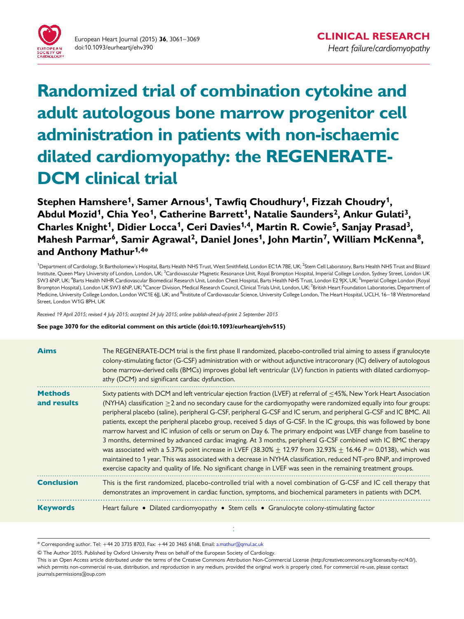

# Randomized trial of combination cytokine and adult autologous bone marrow progenitor cell administration in patients with non-ischaemic dilated cardiomyopathy: the REGENERATE-DCM clinical trial

Stephen Hamshere<sup>1</sup>, Samer Arnous<sup>1</sup>, Tawfiq Choudhury<sup>1</sup>, Fizzah Choudry<sup>1</sup>, Abdul Mozid<sup>1</sup>, Chia Yeo<sup>1</sup>, Catherine Barrett<sup>1</sup>, Natalie Saunders<sup>2</sup>, Ankur Gulati<sup>3</sup>, Charles Knight<sup>1</sup>, Didier Locca<sup>1</sup>, Ceri Davies<sup>1,4</sup>, Martin R. Cowie<sup>5</sup>, Sanjay Prasad<sup>3</sup>, Mahesh Parmar<sup>6</sup>, Samir Agrawal<sup>2</sup>, Daniel Jones<sup>1</sup>, John Martin<sup>7</sup>, William McKenna<sup>8</sup>, and Anthony Mathur<sup>1,4\*</sup>

<sup>1</sup>Department of Cardiology, St Bartholomew's Hospital, Barts Health NHS Trust, West Smithfield, London EC1A 7BE, UK; <sup>2</sup>Stem Cell Laboratory, Barts Health NHS Trust and Blizard Institute, Queen Mary University of London, London, UK; <sup>3</sup>Cardiovascular Magnetic Resonance Unit, Royal Brompton Hospital, Imperial College London, Sydney Street, London UK SW3 6NP, UK; <sup>4</sup>Barts Health NIHR Cardiovascular Biomedical Research Unit, London Chest Hospital, Barts Health NHS Trust, London E2 9JX, UK; <sup>5</sup>Imperial College London (Roya Brompton Hospital), London UK SW3 6NP, UK; <sup>6</sup>Cancer Division, Medical Research Council, Clinical Trials Unit, London, UK; <sup>7</sup>British Heart Foundation Laboratories, Department of Medicine, University College London, London WC1E 6JJ, UK; and <sup>8</sup>Institute of Cardiovascular Science, University College London, The Heart Hospital, UCLH, 16–18 Westmoreland Street, London W1G 8PH, UK

Received 19 April 2015; revised 4 July 2015; accepted 24 July 2015; online publish-ahead-of-print 2 September 2015

See page 3070 for the editorial comment on this article (doi:10.1093/eurheartj/ehv515)

| <b>Aims</b>                   | The REGENERATE-DCM trial is the first phase II randomized, placebo-controlled trial aiming to assess if granulocyte<br>colony-stimulating factor (G-CSF) administration with or without adjunctive intracoronary (IC) delivery of autologous<br>bone marrow-derived cells (BMCs) improves global left ventricular (LV) function in patients with dilated cardiomyop-<br>athy (DCM) and significant cardiac dysfunction.                                                                                                                                                                                                                                                                                                                                                                                                                                                                                                                                                                                                                                                                                    |
|-------------------------------|------------------------------------------------------------------------------------------------------------------------------------------------------------------------------------------------------------------------------------------------------------------------------------------------------------------------------------------------------------------------------------------------------------------------------------------------------------------------------------------------------------------------------------------------------------------------------------------------------------------------------------------------------------------------------------------------------------------------------------------------------------------------------------------------------------------------------------------------------------------------------------------------------------------------------------------------------------------------------------------------------------------------------------------------------------------------------------------------------------|
| <b>Methods</b><br>and results | Sixty patients with DCM and left ventricular ejection fraction (LVEF) at referral of $\leq$ 45%, New York Heart Association<br>(NYHA) classification $\geq$ 2 and no secondary cause for the cardiomyopathy were randomized equally into four groups:<br>peripheral placebo (saline), peripheral G-CSF, peripheral G-CSF and IC serum, and peripheral G-CSF and IC BMC. All<br>patients, except the peripheral placebo group, received 5 days of G-CSF. In the IC groups, this was followed by bone<br>marrow harvest and IC infusion of cells or serum on Day 6. The primary endpoint was LVEF change from baseline to<br>3 months, determined by advanced cardiac imaging. At 3 months, peripheral G-CSF combined with IC BMC therapy<br>was associated with a 5.37% point increase in LVEF (38.30% $\pm$ 12.97 from 32.93% $\pm$ 16.46 P = 0.0138), which was<br>maintained to 1 year. This was associated with a decrease in NYHA classification, reduced NT-pro BNP, and improved<br>exercise capacity and quality of life. No significant change in LVEF was seen in the remaining treatment groups. |
| <b>Conclusion</b>             | This is the first randomized, placebo-controlled trial with a novel combination of G-CSF and IC cell therapy that<br>demonstrates an improvement in cardiac function, symptoms, and biochemical parameters in patients with DCM.                                                                                                                                                                                                                                                                                                                                                                                                                                                                                                                                                                                                                                                                                                                                                                                                                                                                           |
| <b>Keywords</b>               | Heart failure • Dilated cardiomyopathy • Stem cells • Granulocyte colony-stimulating factor                                                                                                                                                                                                                                                                                                                                                                                                                                                                                                                                                                                                                                                                                                                                                                                                                                                                                                                                                                                                                |

\* Corresponding author. Tel: +44 20 3735 8703, Fax: +44 20 3465 6168, Email: [a.mathur@qmul.ac.uk](mailto:a.mathur@qmul.ac.uk)

& The Author 2015. Published by Oxford University Press on behalf of the European Society of Cardiology.

This is an Open Access article distributed under the terms of the Creative Commons Attribution Non-Commercial License [\(http://creativecommons.org/licenses/by-nc/4.0/](http://creativecommons.org/licenses/by-nc/4.0/)), which permits non-commercial re-use, distribution, and reproduction in any medium, provided the original work is properly cited. For commercial re-use, please contact journals.permissions@oup.com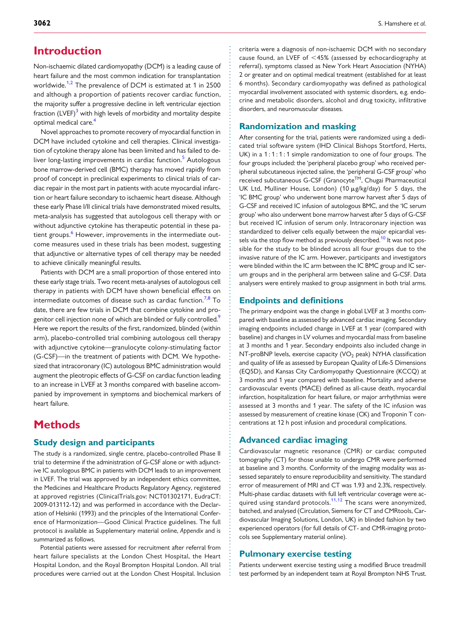# Introduction

Non-ischaemic dilated cardiomyopathy (DCM) is a leading cause of heart failure and the most common indication for transplantation worldwide.<sup>[1,2](#page-8-0)</sup> The prevalence of DCM is estimated at 1 in 2500 and although a proportion of patients recover cardiac function, the majority suffer a progressive decline in left ventricular ejection fraction  $(LVEF)^3$  $(LVEF)^3$  with high levels of morbidity and mortality despite optimal medical care.<sup>4</sup>

Novel approaches to promote recovery of myocardial function in DCM have included cytokine and cell therapies. Clinical investigation of cytokine therapy alone has been limited and has failed to de-liver long-lasting improvements in cardiac function.<sup>[5](#page-8-0)</sup> Autologous bone marrow-derived cell (BMC) therapy has moved rapidly from proof of concept in preclinical experiments to clinical trials of cardiac repair in the most part in patients with acute myocardial infarction or heart failure secondary to ischaemic heart disease. Although these early Phase I/II clinical trials have demonstrated mixed results, meta-analysis has suggested that autologous cell therapy with or without adjunctive cytokine has therapeutic potential in these pa-tient groups.<sup>[6](#page-8-0)</sup> However, improvements in the intermediate outcome measures used in these trials has been modest, suggesting that adjunctive or alternative types of cell therapy may be needed to achieve clinically meaningful results.

Patients with DCM are a small proportion of those entered into these early stage trials. Two recent meta-analyses of autologous cell therapy in patients with DCM have shown beneficial effects on intermediate outcomes of disease such as cardiac function.<sup>[7](#page-8-0),[8](#page-8-0)</sup> To date, there are few trials in DCM that combine cytokine and pro-genitor cell injection none of which are blinded or fully controlled.<sup>[9](#page-8-0)</sup> Here we report the results of the first, randomized, blinded (within arm), placebo-controlled trial combining autologous cell therapy with adjunctive cytokine—granulocyte colony-stimulating factor (G-CSF)—in the treatment of patients with DCM. We hypothesized that intracoronary (IC) autologous BMC administration would augment the pleotropic effects of G-CSF on cardiac function leading to an increase in LVEF at 3 months compared with baseline accompanied by improvement in symptoms and biochemical markers of heart failure.

# **Methods**

## Study design and participants

The study is a randomized, single centre, placebo-controlled Phase II trial to determine if the administration of G-CSF alone or with adjunctive IC autologous BMC in patients with DCM leads to an improvement in LVEF. The trial was approved by an independent ethics committee, the Medicines and Healthcare Products Regulatory Agency, registered at approved registries (ClinicalTrials.gov: NCT01302171, EudraCT: 2009-013112-12) and was performed in accordance with the Declaration of Helsinki (1993) and the principles of the International Conference of Harmonization—Good Clinical Practice guidelines. The full protocol is available as [Supplementary material online,](http://eurheartj.oxfordjournals.org/lookup/suppl/doi:10.1093/eurheartj/ehv390/-/DC1) Appendix and is summarized as follows.

Potential patients were assessed for recruitment after referral from heart failure specialists at the London Chest Hospital, the Heart Hospital London, and the Royal Brompton Hospital London. All trial procedures were carried out at the London Chest Hospital. Inclusion

criteria were a diagnosis of non-ischaemic DCM with no secondary cause found, an LVEF of  $<$ 45% (assessed by echocardiography at referral), symptoms classed as New York Heart Association (NYHA) 2 or greater and on optimal medical treatment (established for at least 6 months). Secondary cardiomyopathy was defined as pathological myocardial involvement associated with systemic disorders, e.g. endocrine and metabolic disorders, alcohol and drug toxicity, infiltrative disorders, and neuromuscular diseases.

#### Randomization and masking

After consenting for the trial, patients were randomized using a dedicated trial software system (IHD Clinical Bishops Stortford, Herts, UK) in a 1:1:1:1 simple randomization to one of four groups. The four groups included: the 'peripheral placebo group' who received peripheral subcutaneous injected saline, the 'peripheral G-CSF group' who received subcutaneous G-CSF (Granocyte™, Chugai Pharmaceutical UK Ltd, Mulliner House, London) (10 µg/kg/day) for 5 days, the 'IC BMC group' who underwent bone marrow harvest after 5 days of G-CSF and received IC infusion of autologous BMC, and the 'IC serum group' who also underwent bone marrow harvest after 5 days of G-CSF but received IC infusion of serum only. Intracoronary injection was standardized to deliver cells equally between the major epicardial ves-sels via the stop flow method as previously described.<sup>[10](#page-8-0)</sup> It was not possible for the study to be blinded across all four groups due to the invasive nature of the IC arm. However, participants and investigators were blinded within the IC arm between the IC BMC group and IC serum groups and in the peripheral arm between saline and G-CSF. Data analysers were entirely masked to group assignment in both trial arms.

## Endpoints and definitions

The primary endpoint was the change in global LVEF at 3 months compared with baseline as assessed by advanced cardiac imaging. Secondary imaging endpoints included change in LVEF at 1 year (compared with baseline) and changes in LV volumes and myocardial mass from baseline at 3 months and 1 year. Secondary endpoints also included change in  $NT-proBNP$  levels, exercise capacity (VO<sub>2</sub> peak) NYHA classification and quality of life as assessed by European Quality of Life-5 Dimensions (EQ5D), and Kansas City Cardiomyopathy Questionnaire (KCCQ) at 3 months and 1 year compared with baseline. Mortality and adverse cardiovascular events (MACE) defined as all-cause death, myocardial infarction, hospitalization for heart failure, or major arrhythmias were assessed at 3 months and 1 year. The safety of the IC infusion was assessed by measurement of creatine kinase (CK) and Troponin T concentrations at 12 h post infusion and procedural complications.

## Advanced cardiac imaging

Cardiovascular magnetic resonance (CMR) or cardiac computed tomography (CT) for those unable to undergo CMR were performed at baseline and 3 months. Conformity of the imaging modality was assessed separately to ensure reproducibility and sensitivity. The standard error of measurement of MRI and CT was 1.93 and 2.3%, respectively. Multi-phase cardiac datasets with full left ventricular coverage were ac-quired using standard protocols.<sup>[11,12](#page-8-0)</sup> The scans were anonymized, batched, and analysed (Circulation, Siemens for CT and CMRtools, Cardiovascular Imaging Solutions, London, UK) in blinded fashion by two experienced operators (for full details of CT- and CMR-imaging protocols see [Supplementary material online\)](http://eurheartj.oxfordjournals.org/lookup/suppl/doi:10.1093/eurheartj/ehv390/-/DC1).

## Pulmonary exercise testing

Patients underwent exercise testing using a modified Bruce treadmill test performed by an independent team at Royal Brompton NHS Trust.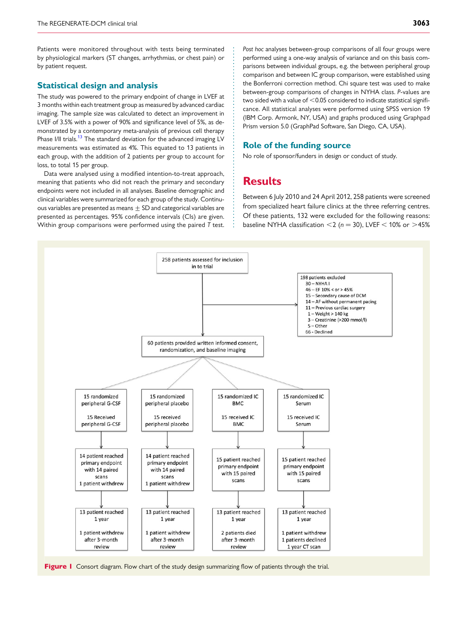<span id="page-2-0"></span>Patients were monitored throughout with tests being terminated by physiological markers (ST changes, arrhythmias, or chest pain) or by patient request.

#### Statistical design and analysis

The study was powered to the primary endpoint of change in LVEF at 3 months within each treatment group as measured by advanced cardiac imaging. The sample size was calculated to detect an improvement in LVEF of 3.5% with a power of 90% and significance level of 5%, as demonstrated by a contemporary meta-analysis of previous cell therapy Phase I/II trials.<sup>[13](#page-8-0)</sup> The standard deviation for the advanced imaging LV measurements was estimated as 4%. This equated to 13 patients in each group, with the addition of 2 patients per group to account for loss, to total 15 per group.

Data were analysed using a modified intention-to-treat approach, meaning that patients who did not reach the primary and secondary endpoints were not included in all analyses. Baseline demographic and clinical variables were summarized for each group of the study. Continuous variables are presented as means  $\pm$  SD and categorical variables are presented as percentages. 95% confidence intervals (CIs) are given. Within group comparisons were performed using the paired T test. Post hoc analyses between-group comparisons of all four groups were performed using a one-way analysis of variance and on this basis comparisons between individual groups, e.g. the between peripheral group comparison and between IC group comparison, were established using the Bonferroni correction method. Chi square test was used to make between-group comparisons of changes in NYHA class. P-values are two sided with a value of  $<$  0.05 considered to indicate statistical significance. All statistical analyses were performed using SPSS version 19 (IBM Corp. Armonk, NY, USA) and graphs produced using Graphpad Prism version 5.0 (GraphPad Software, San Diego, CA, USA).

#### Role of the funding source

No role of sponsor/funders in design or conduct of study.

# Results

Between 6 July 2010 and 24 April 2012, 258 patients were screened from specialized heart failure clinics at the three referring centres. Of these patients, 132 were excluded for the following reasons: baseline NYHA classification < 2 ( $n = 30$ ), LVEF < 10% or >45%



Figure 1 Consort diagram. Flow chart of the study design summarizing flow of patients through the trial.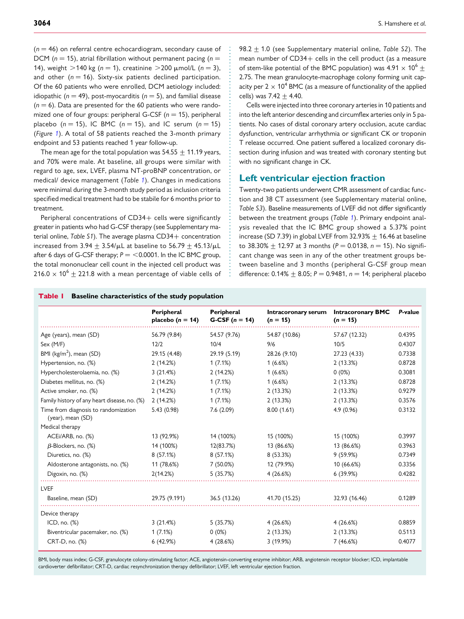$(n = 46)$  on referral centre echocardiogram, secondary cause of DCM ( $n = 15$ ), atrial fibrillation without permanent pacing ( $n =$ 14), weight  $>140$  kg (n = 1), creatinine  $>200$   $\mu$ mol/L (n = 3), and other ( $n = 16$ ). Sixty-six patients declined participation. Of the 60 patients who were enrolled, DCM aetiology included: idiopathic ( $n = 49$ ), post-myocarditis ( $n = 5$ ), and familial disease  $(n = 6)$ . Data are presented for the 60 patients who were randomized one of four groups: peripheral G-CSF ( $n = 15$ ), peripheral placebo ( $n = 15$ ), IC BMC ( $n = 15$ ), and IC serum ( $n = 15$ ) (Figure [1](#page-2-0)). A total of 58 patients reached the 3-month primary endpoint and 53 patients reached 1 year follow-up.

The mean age for the total population was  $54.55+11.19$  years, and 70% were male. At baseline, all groups were similar with regard to age, sex, LVEF, plasma NT-proBNP concentration, or medical/ device management (Table 1). Changes in medications were minimal during the 3-month study period as inclusion criteria specified medical treatment had to be stabile for 6 months prior to treatment.

Peripheral concentrations of CD34+ cells were significantly greater in patients who had G-CSF therapy (see [Supplementary ma](http://eurheartj.oxfordjournals.org/lookup/suppl/doi:10.1093/eurheartj/ehv390/-/DC1)[terial online,](http://eurheartj.oxfordjournals.org/lookup/suppl/doi:10.1093/eurheartj/ehv390/-/DC1) Table S1). The average plasma CD34+ concentration increased from  $3.94 + 3.54/\mu$ L at baseline to  $56.79 + 45.13/\mu$ L after 6 days of G-CSF therapy;  $P = \langle 0.0001$ . In the IC BMC group, the total mononuclear cell count in the injected cell product was 216.0  $\times$  10<sup>6</sup>  $\pm$  221.8 with a mean percentage of viable cells of 98.2  $\pm$  1.0 (see [Supplementary material online,](http://eurheartj.oxfordjournals.org/lookup/suppl/doi:10.1093/eurheartj/ehv390/-/DC1) Table S2). The mean number of CD34+ cells in the cell product (as a measure of stem-like potential of the BMC population) was  $4.91 \times 10^6 +$ 2.75. The mean granulocyte-macrophage colony forming unit capacity per 2  $\times$  10<sup>4</sup> BMC (as a measure of functionality of the applied cells) was  $7.42 + 4.40$ .

Cells were injected into three coronary arteries in 10 patients and into the left anterior descending and circumflex arteries only in 5 patients. No cases of distal coronary artery occlusion, acute cardiac dysfunction, ventricular arrhythmia or significant CK or troponin T release occurred. One patient suffered a localized coronary dissection during infusion and was treated with coronary stenting but with no significant change in CK.

## Left ventricular ejection fraction

Twenty-two patients underwent CMR assessment of cardiac function and 38 CT assessment (see [Supplementary material online,](http://eurheartj.oxfordjournals.org/lookup/suppl/doi:10.1093/eurheartj/ehv390/-/DC1) [Table S3](http://eurheartj.oxfordjournals.org/lookup/suppl/doi:10.1093/eurheartj/ehv390/-/DC1)). Baseline measurements of LVEF did not differ significantly between the treatment groups (Table 1). Primary endpoint analysis revealed that the IC BMC group showed a 5.37% point increase (SD 7.39) in global LVEF from 32.93%  $\pm$  16.46 at baseline to 38.30%  $\pm$  12.97 at 3 months (P = 0.0138, n = 15). No significant change was seen in any of the other treatment groups between baseline and 3 months (peripheral G-CSF group mean difference: 0.14%  $\pm$  8.05; P = 0.9481, n = 14; peripheral placebo

|                                                           | Peripheral<br>placebo ( $n = 14$ ) | Peripheral<br><b>G-CSF</b> $(n = 14)$ | Intracoronary serum<br>$(n = 15)$ | <b>Intracoronary BMC</b><br>$(n = 15)$ | P-value |
|-----------------------------------------------------------|------------------------------------|---------------------------------------|-----------------------------------|----------------------------------------|---------|
| Age (years), mean (SD)                                    | 56.79 (9.84)                       | 54.57 (9.76)                          | 54.87 (10.86)                     | 57.67 (12.32)                          | 0.4395  |
| Sex (M/F)                                                 | 12/2                               | 10/4                                  | 9/6                               | 10/5                                   | 0.4307  |
| BMI ( $kg/m2$ ), mean (SD)                                | 29.15 (4.48)                       | 29.19 (5.19)                          | 28.26 (9.10)                      | 27.23 (4.33)                           | 0.7338  |
| Hypertension, no. (%)                                     | 2(14.2%)                           | 1(7.1%)                               | 1(6.6%)                           | 2(13.3%)                               | 0.8728  |
| Hypercholesterolaemia, no. (%)                            | 3(21.4%)                           | 2(14.2%)                              | 1(6.6%)                           | $0(0\%)$                               | 0.3081  |
| Diabetes mellitus, no. (%)                                | 2(14.2%)                           | 1(7.1%)                               | 1(6.6%)                           | 2(13.3%)                               | 0.8728  |
| Active smoker, no. (%)                                    | 2(14.2%)                           | 1(7.1%)                               | 2(13.3%)                          | 2(13.3%)                               | 0.9279  |
| Family history of any heart disease, no. (%)              | 2(14.2%)                           | 1(7.1%)                               | 2(13.3%)                          | 2(13.3%)                               | 0.3576  |
| Time from diagnosis to randomization<br>(year), mean (SD) | 5.43(0.98)                         | 7.6(2.09)                             | 8.00(1.61)                        | 4.9(0.96)                              | 0.3132  |
| Medical therapy                                           |                                    |                                       |                                   |                                        |         |
| ACEi/ARB, no. (%)                                         | 13 (92.9%)                         | 14 (100%)                             | 15 (100%)                         | 15 (100%)                              | 0.3997  |
| $\beta$ -Blockers, no. (%)                                | 14 (100%)                          | 12(83.7%)                             | 13 (86.6%)                        | 13 (86.6%)                             | 0.3963  |
| Diuretics, no. (%)                                        | 8(57.1%)                           | 8(57.1%)                              | 8(53.3%)                          | 9(59.9%)                               | 0.7349  |
| Aldosterone antagonists, no. (%)                          | 11 (78,6%)                         | 7 (50.0%)                             | 12 (79.9%)                        | 10 (66.6%)                             | 0.3356  |
| Digoxin, no. (%)                                          | 2(14.2%)                           | 5(35.7%)                              | 4(26.6%)                          | 6(39.9%)                               | 0.4282  |
| <b>LVEF</b>                                               |                                    |                                       |                                   |                                        |         |
| Baseline, mean (SD)                                       | 29.75 (9.191)                      | 36.5 (13.26)                          | 41.70 (15.25)                     | 32.93 (16.46)                          | 0.1289  |
| Device therapy                                            |                                    |                                       |                                   |                                        |         |
| $ICD$ , no. $(\%)$                                        | 3(21.4%)                           | 5(35.7%)                              | 4(26.6%)                          | 4(26.6%)                               | 0.8859  |
| Biventricular pacemaker, no. (%)                          | 1(7.1%)                            | $0(0\%)$                              | 2(13.3%)                          | 2(13.3%)                               | 0.5113  |
| CRT-D, no. (%)                                            | 6(42.9%)                           | 4(28.6%)                              | 3(19.9%)                          | 7(46.6%)                               | 0.4077  |

BMI, body mass index; G-CSF, granulocyte colony-stimulating factor; ACE, angiotensin-converting enzyme inhibitor; ARB, angiotensin receptor blocker; ICD, implantable cardioverter defibrillator; CRT-D, cardiac resynchronization therapy defibrillator; LVEF, left ventricular ejection fraction.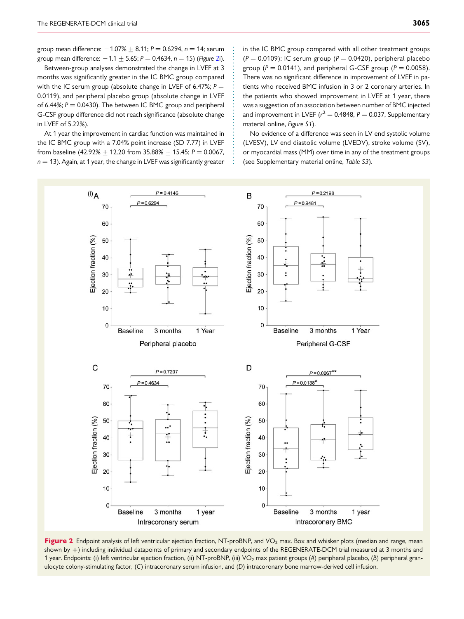<span id="page-4-0"></span>group mean difference:  $-1.07\% + 8.11$ ;  $P = 0.6294$ ,  $n = 14$ ; serum group mean difference:  $-1.1 + 5.65$ ;  $P = 0.4634$ ,  $n = 15$ ) (Figure 2i).

Between-group analyses demonstrated the change in LVEF at 3 months was significantly greater in the IC BMC group compared with the IC serum group (absolute change in LVEF of 6.47%;  $P =$ 0.0119), and peripheral placebo group (absolute change in LVEF of 6.44%;  $P = 0.0430$ ). The between IC BMC group and peripheral G-CSF group difference did not reach significance (absolute change in LVEF of 5.22%).

At 1 year the improvement in cardiac function was maintained in the IC BMC group with a 7.04% point increase (SD 7.77) in LVEF from baseline (42.92%  $\pm$  12.20 from 35.88%  $\pm$  15.45; P = 0.0067,  $n = 13$ ). Again, at 1 year, the change in LVEF was significantly greater in the IC BMC group compared with all other treatment groups  $(P = 0.0109)$ : IC serum group  $(P = 0.0420)$ , peripheral placebo group ( $P = 0.0141$ ), and peripheral G-CSF group ( $P = 0.0058$ ). There was no significant difference in improvement of LVEF in patients who received BMC infusion in 3 or 2 coronary arteries. In the patients who showed improvement in LVEF at 1 year, there was a suggestion of an association between number of BMC injected and improvement in LVEF ( $r^2 = 0.4848$ ,  $P = 0.037$ , [Supplementary](http://eurheartj.oxfordjournals.org/lookup/suppl/doi:10.1093/eurheartj/ehv390/-/DC1) [material online,](http://eurheartj.oxfordjournals.org/lookup/suppl/doi:10.1093/eurheartj/ehv390/-/DC1) Figure S1).

No evidence of a difference was seen in LV end systolic volume (LVESV), LV end diastolic volume (LVEDV), stroke volume (SV), or myocardial mass (MM) over time in any of the treatment groups (see [Supplementary material online,](http://eurheartj.oxfordjournals.org/lookup/suppl/doi:10.1093/eurheartj/ehv390/-/DC1) [Table S3](http://eurheartj.oxfordjournals.org/lookup/suppl/doi:10.1093/eurheartj/ehv390/-/DC1)).



Figure 2 Endpoint analysis of left ventricular ejection fraction, NT-proBNP, and VO<sub>2</sub> max. Box and whisker plots (median and range, mean shown by +) including individual datapoints of primary and secondary endpoints of the REGENERATE-DCM trial measured at 3 months and 1 year. Endpoints: (i) left ventricular ejection fraction, (ii) NT-proBNP, (iii) VO<sub>2</sub> max patient groups (A) peripheral placebo, (B) peripheral granulocyte colony-stimulating factor, (C) intracoronary serum infusion, and (D) intracoronary bone marrow-derived cell infusion.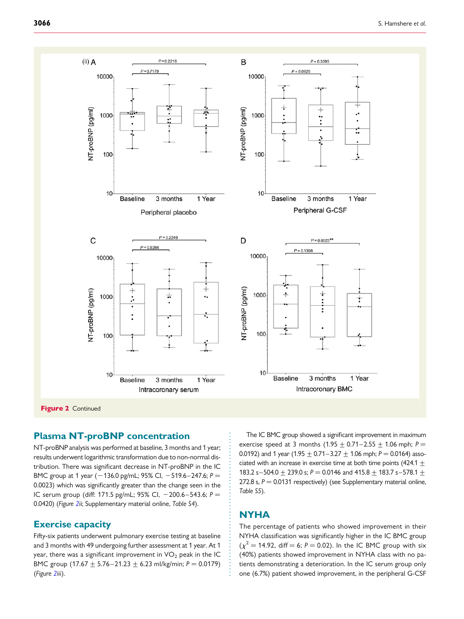

Figure 2 Continued

# Plasma NT-proBNP concentration

NT-proBNP analysis was performed at baseline, 3 months and 1 year; results underwent logarithmic transformation due to non-normal distribution. There was significant decrease in NT-proBNP in the IC BMC group at 1 year (-136.0 pg/mL; 95% CI, -519.6-247.6; P = 0.0023) which was significantly greater than the change seen in the IC serum group (diff: 171.5 pg/mL; 95% CI,  $-200.6-543.6$ ;  $P =$ 0.0420) (Figure [2](#page-4-0)ii; [Supplementary material online,](http://eurheartj.oxfordjournals.org/lookup/suppl/doi:10.1093/eurheartj/ehv390/-/DC1) Table S4).

# Exercise capacity

Fifty-six patients underwent pulmonary exercise testing at baseline and 3 months with 49 undergoing further assessment at 1 year. At 1 year, there was a significant improvement in  $VO<sub>2</sub>$  peak in the IC BMC group (17.67  $\pm$  5.76–21.23  $\pm$  6.23 ml/kg/min; P = 0.0179) (Figure [2](#page-4-0)iii).

The IC BMC group showed a significant improvement in maximum exercise speed at 3 months (1.95  $\pm$  0.71–2.55  $\pm$  1.06 mph; P = 0.0192) and 1 year (1.95 + 0.71–3.27 + 1.06 mph;  $P = 0.0164$ ) associated with an increase in exercise time at both time points (424.1  $\pm$ 183.2 s–504.0 + 239.0 s;  $P = 0.0146$  and  $415.8 + 183.7$  s–578.1 + 272.8 s,  $P = 0.0131$  respectively) (see [Supplementary material online,](http://eurheartj.oxfordjournals.org/lookup/suppl/doi:10.1093/eurheartj/ehv390/-/DC1) [Table S5](http://eurheartj.oxfordjournals.org/lookup/suppl/doi:10.1093/eurheartj/ehv390/-/DC1)).

# **NYHA**

The percentage of patients who showed improvement in their NYHA classification was significantly higher in the IC BMC group  $(x^2 = 14.92$ , diff = 6; P = 0.02). In the IC BMC group with six (40%) patients showed improvement in NYHA class with no patients demonstrating a deterioration. In the IC serum group only one (6.7%) patient showed improvement, in the peripheral G-CSF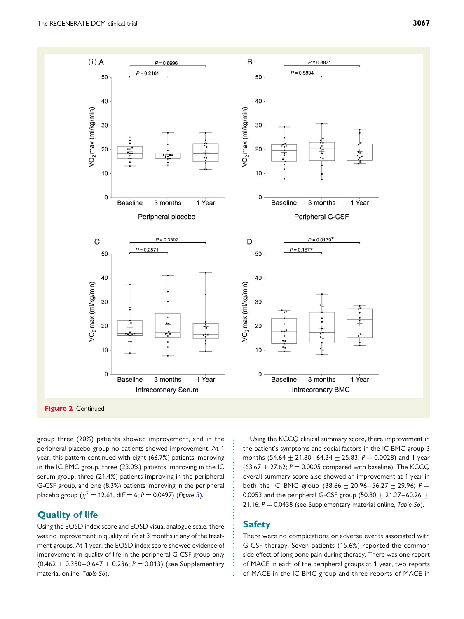

group three (20%) patients showed improvement, and in the peripheral placebo group no patients showed improvement. At 1 year, this pattern continued with eight (66.7%) patients improving in the IC BMC group, three (23.0%) patients improving in the IC serum group, three (21.4%) patients improving in the peripheral G-CSF group, and one (8.3%) patients improving in the peripheral placebo group ( $\chi^2$  = 12.61, diff = 6; P = 0.0497) (Figure [3](#page-7-0)).

# Quality of life

Using the EQ5D index score and EQ5D visual analogue scale, there was no improvement in quality of life at 3 months in any of the treatment groups. At 1 year, the EQ5D index score showed evidence of improvement in quality of life in the peripheral G-CSF group only  $(0.462 \pm 0.350 - 0.647 \pm 0.236; P = 0.013)$  (see [Supplementary](http://eurheartj.oxfordjournals.org/lookup/suppl/doi:10.1093/eurheartj/ehv390/-/DC1) [material online,](http://eurheartj.oxfordjournals.org/lookup/suppl/doi:10.1093/eurheartj/ehv390/-/DC1) [Table S6](http://eurheartj.oxfordjournals.org/lookup/suppl/doi:10.1093/eurheartj/ehv390/-/DC1)).

Using the KCCQ clinical summary score, there improvement in the patient's symptoms and social factors in the IC BMC group 3 months  $(54.64 + 21.80 - 64.34 + 25.83; P = 0.0028)$  and 1 year  $(63.67 + 27.62; P = 0.0005$  compared with baseline). The KCCQ overall summary score also showed an improvement at 1 year in both the IC BMC group (38.66  $\pm$  20.96–56.27  $\pm$  29.96; P = 0.0053 and the peripheral G-CSF group (50.80  $\pm$  21.27–60.26  $\pm$ 21.16;  $P = 0.0438$  (see [Supplementary material online,](http://eurheartj.oxfordjournals.org/lookup/suppl/doi:10.1093/eurheartj/ehv390/-/DC1) Table S6).

# **Safety**

There were no complications or adverse events associated with G-CSF therapy. Seven patients (15.6%) reported the common side effect of long bone pain during therapy. There was one report of MACE in each of the peripheral groups at 1 year, two reports of MACE in the IC BMC group and three reports of MACE in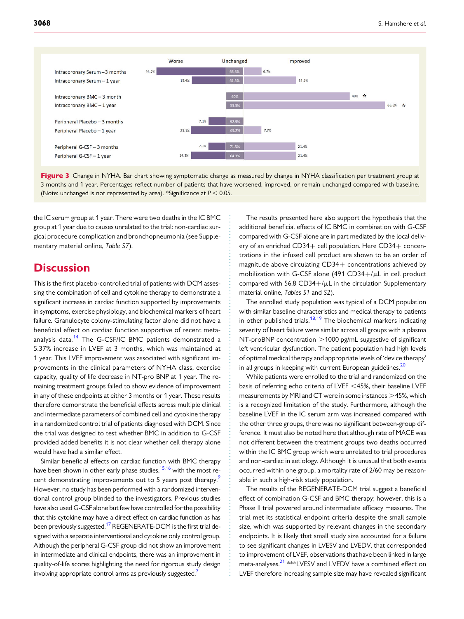<span id="page-7-0"></span>

Figure 3 Change in NYHA. Bar chart showing symptomatic change as measured by change in NYHA classification per treatment group at 3 months and 1 year. Percentages reflect number of patients that have worsened, improved, or remain unchanged compared with baseline. (Note: unchanged is not represented by area). \*Significance at  $P < 0.05$ .

the IC serum group at 1 year. There were two deaths in the IC BMC group at 1 year due to causes unrelated to the trial: non-cardiac surgical procedure complication and bronchopneumonia (see [Supple](http://eurheartj.oxfordjournals.org/lookup/suppl/doi:10.1093/eurheartj/ehv390/-/DC1)[mentary material online,](http://eurheartj.oxfordjournals.org/lookup/suppl/doi:10.1093/eurheartj/ehv390/-/DC1) [Table S7](http://eurheartj.oxfordjournals.org/lookup/suppl/doi:10.1093/eurheartj/ehv390/-/DC1)).

# **Discussion**

This is the first placebo-controlled trial of patients with DCM assessing the combination of cell and cytokine therapy to demonstrate a significant increase in cardiac function supported by improvements in symptoms, exercise physiology, and biochemical markers of heart failure. Granulocyte colony-stimulating factor alone did not have a beneficial effect on cardiac function supportive of recent meta-analysis data.<sup>[14](#page-8-0)</sup> The G-CSF/IC BMC patients demonstrated a 5.37% increase in LVEF at 3 months, which was maintained at 1 year. This LVEF improvement was associated with significant improvements in the clinical parameters of NYHA class, exercise capacity, quality of life decrease in NT-pro BNP at 1 year. The remaining treatment groups failed to show evidence of improvement in any of these endpoints at either 3 months or 1 year. These results therefore demonstrate the beneficial effects across multiple clinical and intermediate parameters of combined cell and cytokine therapy in a randomized control trial of patients diagnosed with DCM. Since the trial was designed to test whether BMC in addition to G-CSF provided added benefits it is not clear whether cell therapy alone would have had a similar effect.

Similar beneficial effects on cardiac function with BMC therapy have been shown in other early phase studies, $15,16$  $15,16$  $15,16$  with the most re-cent demonstrating improvements out to 5 years post therapy.<sup>[9](#page-8-0)</sup> However, no study has been performed with a randomized interventional control group blinded to the investigators. Previous studies have also used G-CSF alone but few have controlled for the possibility that this cytokine may have a direct effect on cardiac function as has been previously suggested.<sup>[17](#page-8-0)</sup> REGENERATE-DCM is the first trial designed with a separate interventional and cytokine only control group. Although the peripheral G-CSF group did not show an improvement in intermediate and clinical endpoints, there was an improvement in quality-of-life scores highlighting the need for rigorous study design involving appropriate control arms as previously suggested.<sup>[7](#page-8-0)</sup>

The results presented here also support the hypothesis that the additional beneficial effects of IC BMC in combination with G-CSF compared with G-CSF alone are in part mediated by the local delivery of an enriched CD34+ cell population. Here CD34+ concentrations in the infused cell product are shown to be an order of magnitude above circulating CD34+ concentrations achieved by mobilization with G-CSF alone (491 CD34 $+/\mu$ L in cell product compared with 56.8 CD34 $+/\mu$ L in the circulation [Supplementary](http://eurheartj.oxfordjournals.org/lookup/suppl/doi:10.1093/eurheartj/ehv390/-/DC1) [material online,](http://eurheartj.oxfordjournals.org/lookup/suppl/doi:10.1093/eurheartj/ehv390/-/DC1) Tables S1 and S2).

The enrolled study population was typical of a DCM population with similar baseline characteristics and medical therapy to patients in other published trials.<sup>[18,19](#page-8-0)</sup> The biochemical markers indicating severity of heart failure were similar across all groups with a plasma NT-proBNP concentration  $>$  1000 pg/mL suggestive of significant left ventricular dysfunction. The patient population had high levels of optimal medical therapy and appropriate levels of 'device therapy' in all groups in keeping with current European guidelines.<sup>[20](#page-8-0)</sup>

While patients were enrolled to the trial and randomized on the basis of referring echo criteria of LVEF  $<$  45%, their baseline LVEF measurements by MRI and CT were in some instances  $>$ 45%, which is a recognized limitation of the study. Furthermore, although the baseline LVEF in the IC serum arm was increased compared with the other three groups, there was no significant between-group difference. It must also be noted here that although rate of MACE was not different between the treatment groups two deaths occurred within the IC BMC group which were unrelated to trial procedures and non-cardiac in aetiology. Although it is unusual that both events occurred within one group, a mortality rate of 2/60 may be reasonable in such a high-risk study population.

The results of the REGENERATE-DCM trial suggest a beneficial effect of combination G-CSF and BMC therapy; however, this is a Phase II trial powered around intermediate efficacy measures. The trial met its statistical endpoint criteria despite the small sample size, which was supported by relevant changes in the secondary endpoints. It is likely that small study size accounted for a failure to see significant changes in LVESV and LVEDV, that corresponded to improvement of LVEF, observations that have been linked in large meta-analyses.<sup>21</sup> \*\*\*LVESV and LVEDV have a combined effect on LVEF therefore increasing sample size may have revealed significant